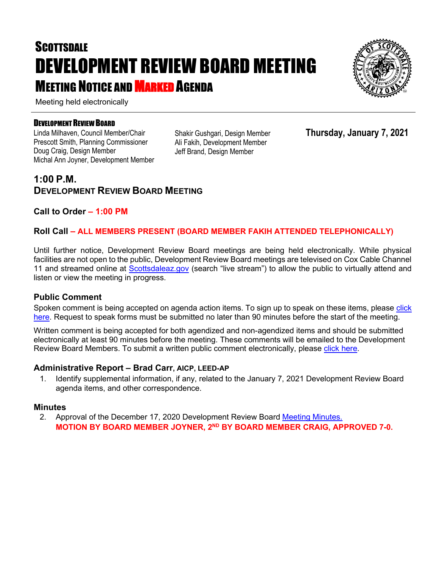# **SCOTTSDALE** DEVELOPMENT REVIEW BOARD MEETING MEETING NOTICE AND MARKED AGENDA

Meeting held electronically

#### DEVELOPMENT REVIEW BOARD

Linda Milhaven, Council Member/Chair Prescott Smith, Planning Commissioner Doug Craig, Design Member Michal Ann Joyner, Development Member Shakir Gushgari, Design Member Ali Fakih, Development Member Jeff Brand, Design Member

**Thursday, January 7, 2021**

## **1:00 P.M. DEVELOPMENT REVIEW BOARD MEETING**

#### **Call to Order – 1:00 PM**

#### **Roll Call – ALL MEMBERS PRESENT (BOARD MEMBER FAKIH ATTENDED TELEPHONICALLY)**

Until further notice, Development Review Board meetings are being held electronically. While physical facilities are not open to the public, Development Review Board meetings are televised on Cox Cable Channel 11 and streamed online at [Scottsdaleaz.gov](https://www.scottsdaleaz.gov/) (search "live stream") to allow the public to virtually attend and listen or view the meeting in progress.

#### **Public Comment**

Spoken comment is being accepted on agenda action items. To sign up to speak on these items, please click [here.](https://www.scottsdaleaz.gov/boards/development-review-board/spoken-comment) Request to speak forms must be submitted no later than 90 minutes before the start of the meeting.

Written comment is being accepted for both agendized and non-agendized items and should be submitted electronically at least 90 minutes before the meeting. These comments will be emailed to the Development Review Board Members. To submit a written public comment electronically, please [click here.](https://www.scottsdaleaz.gov/boards/development-review-board/public-comment)

#### **Administrative Report – Brad Carr, AICP, LEED-AP**

1. Identify supplemental information, if any, related to the January 7, 2021 Development Review Board agenda items, and other correspondence.

#### **Minutes**

2. Approval of the December 17, 2020 Development Review Board [Meeting Minutes.](https://eservices.scottsdaleaz.gov/planning/projectsummary/unrelated_documents/DRB_MEETING_MINUTES_12172020.pdf) **MOTION BY BOARD MEMBER JOYNER, 2ND BY BOARD MEMBER CRAIG, APPROVED 7-0.**